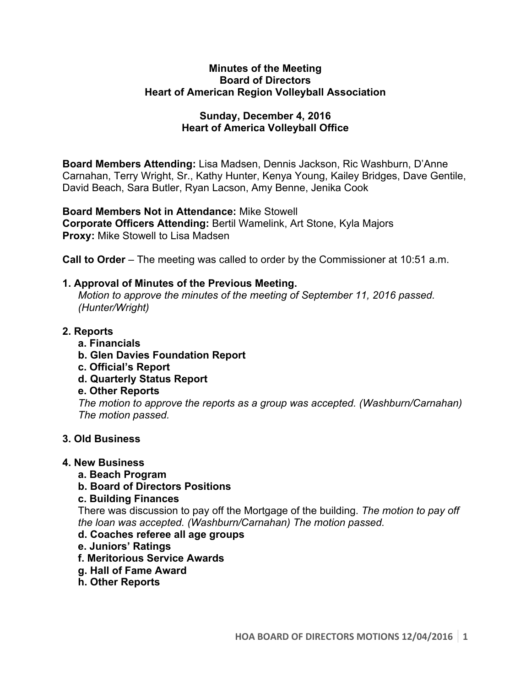#### **Minutes of the Meeting Board of Directors Heart of American Region Volleyball Association**

## **Sunday, December 4, 2016 Heart of America Volleyball Office**

**Board Members Attending:** Lisa Madsen, Dennis Jackson, Ric Washburn, D'Anne Carnahan, Terry Wright, Sr., Kathy Hunter, Kenya Young, Kailey Bridges, Dave Gentile, David Beach, Sara Butler, Ryan Lacson, Amy Benne, Jenika Cook

**Board Members Not in Attendance:** Mike Stowell **Corporate Officers Attending:** Bertil Wamelink, Art Stone, Kyla Majors **Proxy:** Mike Stowell to Lisa Madsen

**Call to Order** – The meeting was called to order by the Commissioner at 10:51 a.m.

### **1. Approval of Minutes of the Previous Meeting.**

*Motion to approve the minutes of the meeting of September 11, 2016 passed. (Hunter/Wright)* 

### **2. Reports**

- **a. Financials**
- **b. Glen Davies Foundation Report**
- **c. Official's Report**
- **d. Quarterly Status Report**

# **e. Other Reports**

*The motion to approve the reports as a group was accepted. (Washburn/Carnahan) The motion passed.*

### **3. Old Business**

### **4. New Business**

**a. Beach Program** 

# **b. Board of Directors Positions**

### **c. Building Finances**

There was discussion to pay off the Mortgage of the building. *The motion to pay off the loan was accepted. (Washburn/Carnahan) The motion passed.*

# **d. Coaches referee all age groups**

- **e. Juniors' Ratings**
- **f. Meritorious Service Awards**
- **g. Hall of Fame Award**
- **h. Other Reports**